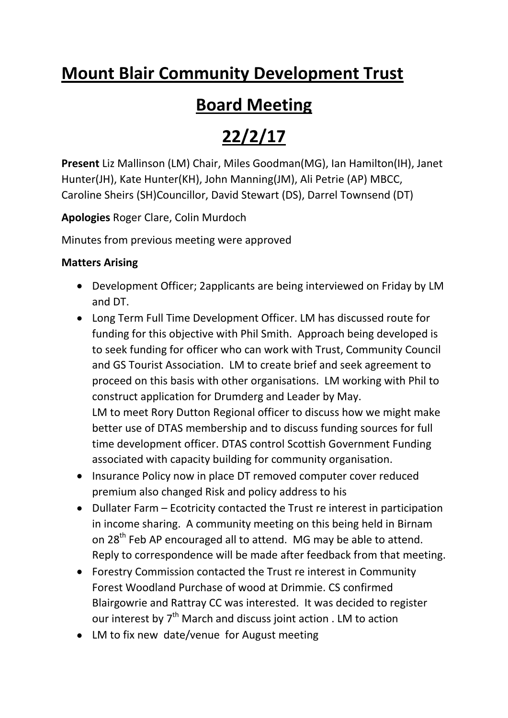# **Mount Blair Community Development Trust**

# **Board Meeting**

# **22/2/17**

**Present** Liz Mallinson (LM) Chair, Miles Goodman(MG), Ian Hamilton(IH), Janet Hunter(JH), Kate Hunter(KH), John Manning(JM), Ali Petrie (AP) MBCC, Caroline Sheirs (SH)Councillor, David Stewart (DS), Darrel Townsend (DT)

**Apologies** Roger Clare, Colin Murdoch

Minutes from previous meeting were approved

# **Matters Arising**

- Development Officer; 2applicants are being interviewed on Friday by LM and DT.
- Long Term Full Time Development Officer. LM has discussed route for funding for this objective with Phil Smith. Approach being developed is to seek funding for officer who can work with Trust, Community Council and GS Tourist Association. LM to create brief and seek agreement to proceed on this basis with other organisations. LM working with Phil to construct application for Drumderg and Leader by May. LM to meet Rory Dutton Regional officer to discuss how we might make better use of DTAS membership and to discuss funding sources for full time development officer. DTAS control Scottish Government Funding associated with capacity building for community organisation.
- Insurance Policy now in place DT removed computer cover reduced premium also changed Risk and policy address to his
- Dullater Farm Ecotricity contacted the Trust re interest in participation in income sharing. A community meeting on this being held in Birnam on 28<sup>th</sup> Feb AP encouraged all to attend. MG may be able to attend. Reply to correspondence will be made after feedback from that meeting.
- Forestry Commission contacted the Trust re interest in Community Forest Woodland Purchase of wood at Drimmie. CS confirmed Blairgowrie and Rattray CC was interested. It was decided to register our interest by  $7<sup>th</sup>$  March and discuss joint action . LM to action
- LM to fix new date/venue for August meeting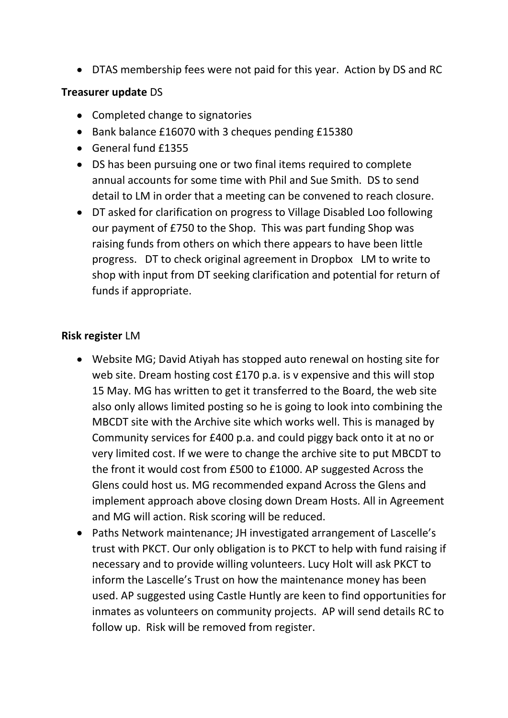DTAS membership fees were not paid for this year. Action by DS and RC

#### **Treasurer update** DS

- Completed change to signatories
- Bank balance £16070 with 3 cheques pending £15380
- General fund £1355
- DS has been pursuing one or two final items required to complete annual accounts for some time with Phil and Sue Smith. DS to send detail to LM in order that a meeting can be convened to reach closure.
- DT asked for clarification on progress to Village Disabled Loo following our payment of £750 to the Shop. This was part funding Shop was raising funds from others on which there appears to have been little progress. DT to check original agreement in Dropbox LM to write to shop with input from DT seeking clarification and potential for return of funds if appropriate.

# **Risk register** LM

- Website MG; David Atiyah has stopped auto renewal on hosting site for web site. Dream hosting cost £170 p.a. is v expensive and this will stop 15 May. MG has written to get it transferred to the Board, the web site also only allows limited posting so he is going to look into combining the MBCDT site with the Archive site which works well. This is managed by Community services for £400 p.a. and could piggy back onto it at no or very limited cost. If we were to change the archive site to put MBCDT to the front it would cost from £500 to £1000. AP suggested Across the Glens could host us. MG recommended expand Across the Glens and implement approach above closing down Dream Hosts. All in Agreement and MG will action. Risk scoring will be reduced.
- Paths Network maintenance; JH investigated arrangement of Lascelle's trust with PKCT. Our only obligation is to PKCT to help with fund raising if necessary and to provide willing volunteers. Lucy Holt will ask PKCT to inform the Lascelle's Trust on how the maintenance money has been used. AP suggested using Castle Huntly are keen to find opportunities for inmates as volunteers on community projects. AP will send details RC to follow up. Risk will be removed from register.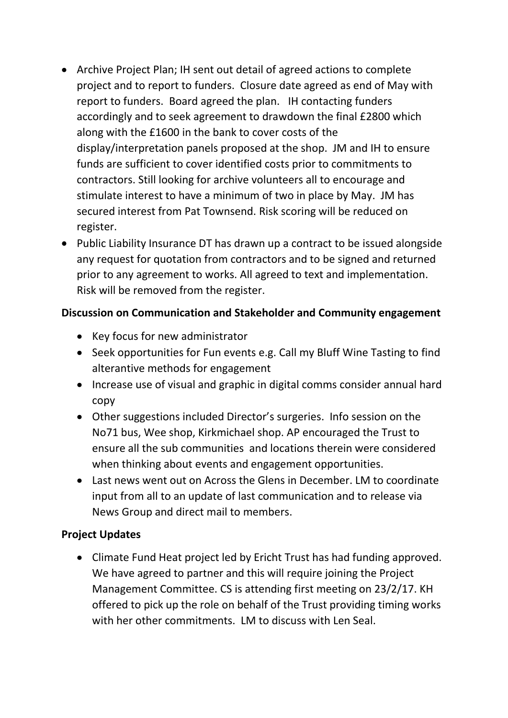- Archive Project Plan; IH sent out detail of agreed actions to complete project and to report to funders. Closure date agreed as end of May with report to funders. Board agreed the plan. IH contacting funders accordingly and to seek agreement to drawdown the final £2800 which along with the £1600 in the bank to cover costs of the display/interpretation panels proposed at the shop. JM and IH to ensure funds are sufficient to cover identified costs prior to commitments to contractors. Still looking for archive volunteers all to encourage and stimulate interest to have a minimum of two in place by May. JM has secured interest from Pat Townsend. Risk scoring will be reduced on register.
- Public Liability Insurance DT has drawn up a contract to be issued alongside any request for quotation from contractors and to be signed and returned prior to any agreement to works. All agreed to text and implementation. Risk will be removed from the register.

### **Discussion on Communication and Stakeholder and Community engagement**

- Key focus for new administrator
- Seek opportunities for Fun events e.g. Call my Bluff Wine Tasting to find alterantive methods for engagement
- Increase use of visual and graphic in digital comms consider annual hard copy
- Other suggestions included Director's surgeries. Info session on the No71 bus, Wee shop, Kirkmichael shop. AP encouraged the Trust to ensure all the sub communities and locations therein were considered when thinking about events and engagement opportunities.
- Last news went out on Across the Glens in December. LM to coordinate input from all to an update of last communication and to release via News Group and direct mail to members.

# **Project Updates**

Climate Fund Heat project led by Ericht Trust has had funding approved. We have agreed to partner and this will require joining the Project Management Committee. CS is attending first meeting on 23/2/17. KH offered to pick up the role on behalf of the Trust providing timing works with her other commitments. LM to discuss with Len Seal.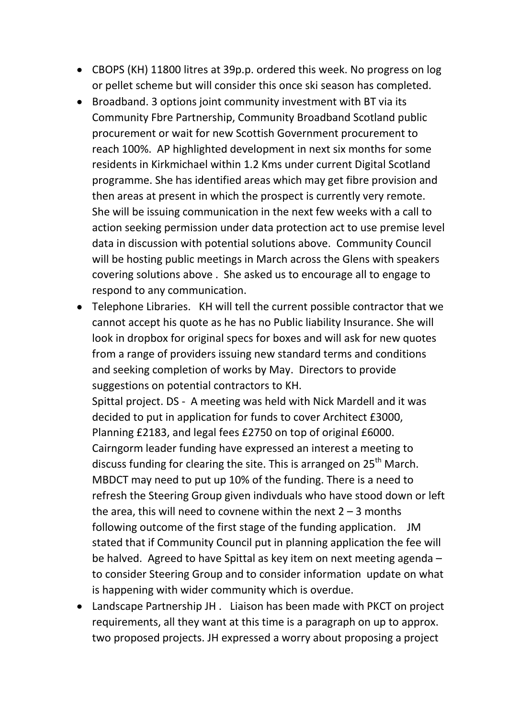- CBOPS (KH) 11800 litres at 39p.p. ordered this week. No progress on log or pellet scheme but will consider this once ski season has completed.
- Broadband. 3 options joint community investment with BT via its Community Fbre Partnership, Community Broadband Scotland public procurement or wait for new Scottish Government procurement to reach 100%. AP highlighted development in next six months for some residents in Kirkmichael within 1.2 Kms under current Digital Scotland programme. She has identified areas which may get fibre provision and then areas at present in which the prospect is currently very remote. She will be issuing communication in the next few weeks with a call to action seeking permission under data protection act to use premise level data in discussion with potential solutions above. Community Council will be hosting public meetings in March across the Glens with speakers covering solutions above . She asked us to encourage all to engage to respond to any communication.
- Telephone Libraries. KH will tell the current possible contractor that we cannot accept his quote as he has no Public liability Insurance. She will look in dropbox for original specs for boxes and will ask for new quotes from a range of providers issuing new standard terms and conditions and seeking completion of works by May. Directors to provide suggestions on potential contractors to KH.

Spittal project. DS - A meeting was held with Nick Mardell and it was decided to put in application for funds to cover Architect £3000, Planning £2183, and legal fees £2750 on top of original £6000. Cairngorm leader funding have expressed an interest a meeting to discuss funding for clearing the site. This is arranged on 25<sup>th</sup> March. MBDCT may need to put up 10% of the funding. There is a need to refresh the Steering Group given indivduals who have stood down or left the area, this will need to covnene within the next  $2 - 3$  months following outcome of the first stage of the funding application. JM stated that if Community Council put in planning application the fee will be halved. Agreed to have Spittal as key item on next meeting agenda – to consider Steering Group and to consider information update on what is happening with wider community which is overdue.

Landscape Partnership JH . Liaison has been made with PKCT on project requirements, all they want at this time is a paragraph on up to approx. two proposed projects. JH expressed a worry about proposing a project